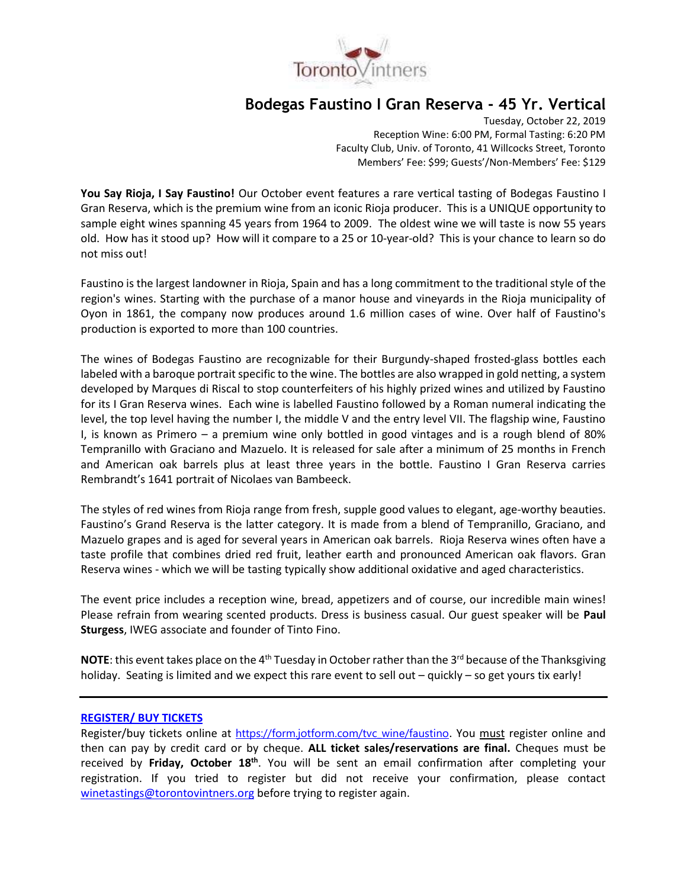

# **Bodegas Faustino I Gran Reserva - 45 Yr. Vertical**

Tuesday, October 22, 2019 Reception Wine: 6:00 PM, Formal Tasting: 6:20 PM Faculty Club, Univ. of Toronto, 41 Willcocks Street, Toronto Members' Fee: \$99; Guests'/Non-Members' Fee: \$129

**You Say Rioja, I Say Faustino!** Our October event features a rare vertical tasting of Bodegas Faustino I Gran Reserva, which is the premium wine from an iconic Rioja producer. This is a UNIQUE opportunity to sample eight wines spanning 45 years from 1964 to 2009. The oldest wine we will taste is now 55 years old. How has it stood up? How will it compare to a 25 or 10-year-old? This is your chance to learn so do not miss out!

Faustino is the largest landowner in Rioja, Spain and has a long commitment to the traditional style of the region's wines. Starting with the purchase of a manor house and vineyards in the Rioja municipality of Oyon in 1861, the company now produces around 1.6 million cases of wine. Over half of Faustino's production is exported to more than 100 countries.

The wines of Bodegas Faustino are recognizable for their Burgundy-shaped frosted-glass bottles each labeled with a baroque portrait specific to the wine. The bottles are also wrapped in gold netting, a system developed by Marques di Riscal to stop counterfeiters of his highly prized wines and utilized by Faustino for its I Gran Reserva wines. Each wine is labelled Faustino followed by a Roman numeral indicating the level, the top level having the number I, the middle V and the entry level VII. The flagship wine, Faustino I, is known as Primero – a premium wine only bottled in good vintages and is a rough blend of 80% Tempranillo with Graciano and Mazuelo. It is released for sale after a minimum of 25 months in French and American oak barrels plus at least three years in the bottle. Faustino I Gran Reserva carries Rembrandt's 1641 portrait of Nicolaes van Bambeeck.

The styles of red wines from Rioja range from fresh, supple good values to elegant, age-worthy beauties. Faustino's Grand Reserva is the latter category. It is made from a blend of Tempranillo, Graciano, and Mazuelo grapes and is aged for several years in American oak barrels. Rioja Reserva wines often have a taste profile that combines dried red fruit, leather earth and pronounced American oak flavors. Gran Reserva wines - which we will be tasting typically show additional oxidative and aged characteristics.

The event price includes a reception wine, bread, appetizers and of course, our incredible main wines! Please refrain from wearing scented products. Dress is business casual. Our guest speaker will be **Paul Sturgess**, IWEG associate and founder of Tinto Fino.

**NOTE**: this event takes place on the 4<sup>th</sup> Tuesday in October rather than the 3<sup>rd</sup> because of the Thanksgiving holiday. Seating is limited and we expect this rare event to sell out – quickly – so get yours tix early!

#### **[REGISTER/ BUY TICKETS](https://form.jotform.com/tvc_wine/faustino)**

Register/buy tickets online at [https://form.jotform.com/tvc\\_wine/faustino](https://form.jotform.com/tvc_wine/faustino). You must register online and then can pay by credit card or by cheque. **ALL ticket sales/reservations are final.** Cheques must be received by **Friday, October 18th**. You will be sent an email confirmation after completing your registration. If you tried to register but did not receive your confirmation, please contact [winetastings@torontovintners.org](mailto:winetastings@torontovintners.org) before trying to register again.